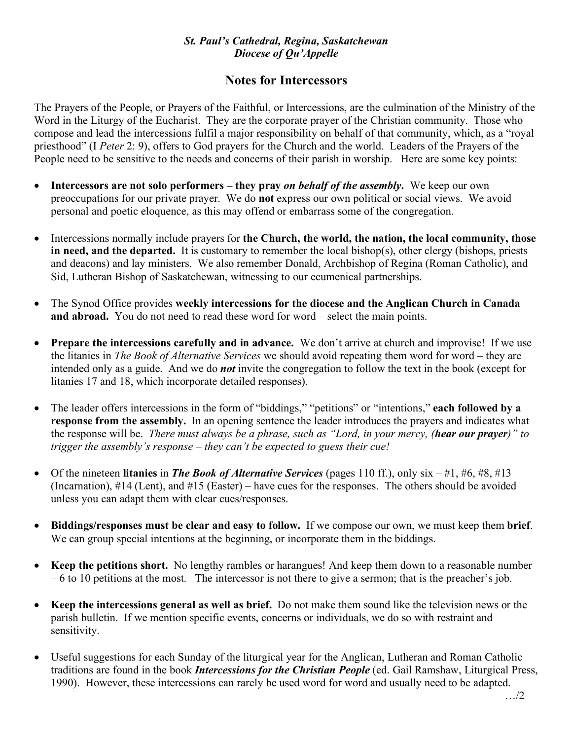### *St. Paul's Cathedral, Regina, Saskatchewan Diocese of Qu'Appelle*

# **Notes for Intercessors**

The Prayers of the People, or Prayers of the Faithful, or Intercessions, are the culmination of the Ministry of the Word in the Liturgy of the Eucharist. They are the corporate prayer of the Christian community. Those who compose and lead the intercessions fulfil a major responsibility on behalf of that community, which, as a "royal priesthood" (I *Peter* 2: 9), offers to God prayers for the Church and the world. Leaders of the Prayers of the People need to be sensitive to the needs and concerns of their parish in worship. Here are some key points:

- **Intercessors are not solo performers – they pray** *on behalf of the assembly***.** We keep our own preoccupations for our private prayer. We do **not** express our own political or social views. We avoid personal and poetic eloquence, as this may offend or embarrass some of the congregation.
- Intercessions normally include prayers for **the Church, the world, the nation, the local community, those in need, and the departed.** It is customary to remember the local bishop(s), other clergy (bishops, priests and deacons) and lay ministers. We also remember Donald, Archbishop of Regina (Roman Catholic), and Sid, Lutheran Bishop of Saskatchewan, witnessing to our ecumenical partnerships.
- The Synod Office provides **weekly intercessions for the diocese and the Anglican Church in Canada and abroad.** You do not need to read these word for word – select the main points.
- **Prepare the intercessions carefully and in advance.** We don't arrive at church and improvise! If we use the litanies in *The Book of Alternative Services* we should avoid repeating them word for word – they are intended only as a guide. And we do *not* invite the congregation to follow the text in the book (except for litanies 17 and 18, which incorporate detailed responses).
- The leader offers intercessions in the form of "biddings," "petitions" or "intentions," **each followed by a response from the assembly.** In an opening sentence the leader introduces the prayers and indicates what the response will be. *There must always be a phrase, such as "Lord, in your mercy, (hear our prayer)" to trigger the assembly's response – they can't be expected to guess their cue!*
- Of the nineteen **litanies** in *The Book of Alternative Services* (pages 110 ff.), only six #1, #6, #8, #13 (Incarnation), #14 (Lent), and #15 (Easter) – have cues for the responses. The others should be avoided unless you can adapt them with clear cues/responses.
- **Biddings/responses must be clear and easy to follow.** If we compose our own, we must keep them **brief**. We can group special intentions at the beginning, or incorporate them in the biddings.
- **Keep the petitions short.** No lengthy rambles or harangues! And keep them down to a reasonable number – 6 to 10 petitions at the most. The intercessor is not there to give a sermon; that is the preacher's job.
- **Keep the intercessions general as well as brief.** Do not make them sound like the television news or the parish bulletin. If we mention specific events, concerns or individuals, we do so with restraint and sensitivity.
- Useful suggestions for each Sunday of the liturgical year for the Anglican, Lutheran and Roman Catholic traditions are found in the book *Intercessions for the Christian People* (ed. Gail Ramshaw, Liturgical Press, 1990). However, these intercessions can rarely be used word for word and usually need to be adapted.